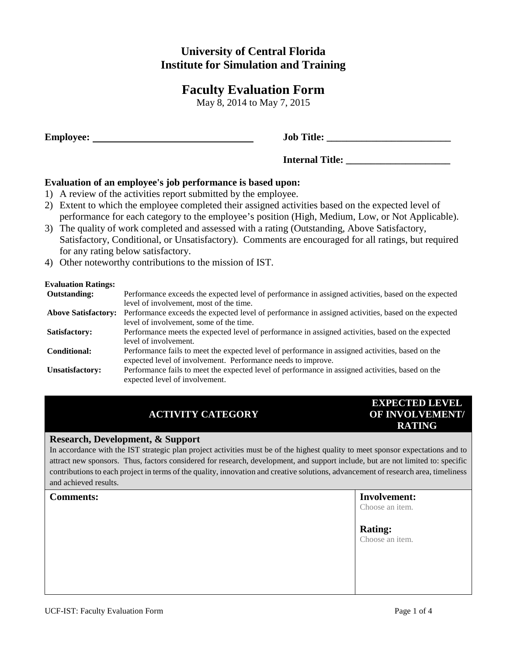# **University of Central Florida Institute for Simulation and Training**

# **Faculty Evaluation Form**

May 8, 2014 to May 7, 2015

**Figure:** Job Title:

**Internal Title: \_\_\_\_\_\_\_\_\_\_\_\_\_\_\_\_\_\_\_\_\_**

**Evaluation of an employee's job performance is based upon:**

- 1) A review of the activities report submitted by the employee.
- 2) Extent to which the employee completed their assigned activities based on the expected level of performance for each category to the employee's position (High, Medium, Low, or Not Applicable).
- 3) The quality of work completed and assessed with a rating (Outstanding, Above Satisfactory, Satisfactory, Conditional, or Unsatisfactory). Comments are encouraged for all ratings, but required for any rating below satisfactory.
- 4) Other noteworthy contributions to the mission of IST.

### **Evaluation Ratings:**

| livaiuauvii Kauligs.       |                                                                                                     |
|----------------------------|-----------------------------------------------------------------------------------------------------|
| <b>Outstanding:</b>        | Performance exceeds the expected level of performance in assigned activities, based on the expected |
|                            | level of involvement, most of the time.                                                             |
| <b>Above Satisfactory:</b> | Performance exceeds the expected level of performance in assigned activities, based on the expected |
|                            | level of involvement, some of the time.                                                             |
| Satisfactory:              | Performance meets the expected level of performance in assigned activities, based on the expected   |
|                            | level of involvement.                                                                               |
| Conditional:               | Performance fails to meet the expected level of performance in assigned activities, based on the    |
|                            | expected level of involvement. Performance needs to improve.                                        |
| Unsatisfactory:            | Performance fails to meet the expected level of performance in assigned activities, based on the    |
|                            | expected level of involvement.                                                                      |
|                            |                                                                                                     |

# **ACTIVITY CATEGORY**

# **EXPECTED LEVEL OF INVOLVEMENT/ RATING**

## **Research, Development, & Support**

In accordance with the IST strategic plan project activities must be of the highest quality to meet sponsor expectations and to attract new sponsors. Thus, factors considered for research, development, and support include, but are not limited to: specific contributions to each project in terms of the quality, innovation and creative solutions, advancement of research area, timeliness and achieved results.

| <b>Comments:</b> | <b>Involvement:</b><br>Choose an item. |
|------------------|----------------------------------------|
|                  | <b>Rating:</b><br>Choose an item.      |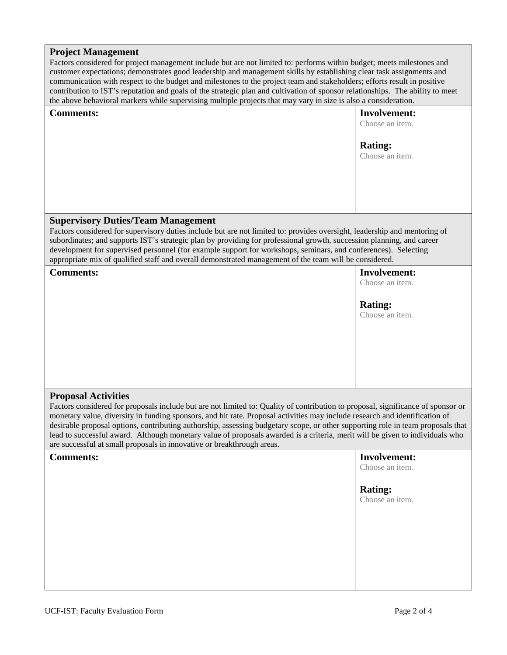#### **Project Management**

Factors considered for project management include but are not limited to: performs within budget; meets milestones and customer expectations; demonstrates good leadership and management skills by establishing clear task assignments and communication with respect to the budget and milestones to the project team and stakeholders; efforts result in positive contribution to IST's reputation and goals of the strategic plan and cultivation of sponsor relationships. The ability to meet the above behavioral markers while supervising multiple projects that may vary in size is also a consideration.

| <b>Comments:</b>                          | <b>Involvement:</b><br>Choose an item. |
|-------------------------------------------|----------------------------------------|
|                                           | <b>Rating:</b><br>Choose an item.      |
|                                           |                                        |
| <b>Supervisory Duties/Team Management</b> |                                        |

Factors considered for supervisory duties include but are not limited to: provides oversight, leadership and mentoring of subordinates; and supports IST's strategic plan by providing for professional growth, succession planning, and career development for supervised personnel (for example support for workshops, seminars, and conferences). Selecting appropriate mix of qualified staff and overall demonstrated management of the team will be considered.

**Comments: Involvement:**

Choose an item.

# **Rating:**

Choose an item.

## **Proposal Activities**

Factors considered for proposals include but are not limited to: Quality of contribution to proposal, significance of sponsor or monetary value, diversity in funding sponsors, and hit rate. Proposal activities may include research and identification of desirable proposal options, contributing authorship, assessing budgetary scope, or other supporting role in team proposals that lead to successful award. Although monetary value of proposals awarded is a criteria, merit will be given to individuals who are successful at small proposals in innovative or breakthrough areas.

| <b>Comments:</b> | <b>Involvement:</b><br>Choose an item. |
|------------------|----------------------------------------|
|                  | <b>Rating:</b><br>Choose an item.      |
|                  |                                        |
|                  |                                        |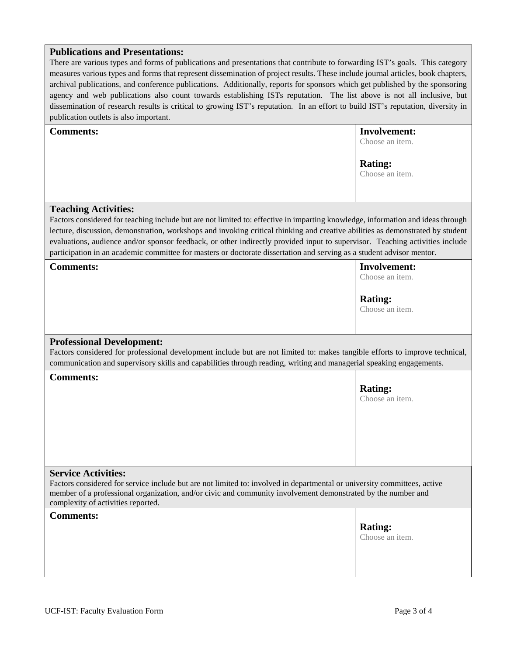## **Publications and Presentations:**

There are various types and forms of publications and presentations that contribute to forwarding IST's goals. This category measures various types and forms that represent dissemination of project results. These include journal articles, book chapters, archival publications, and conference publications. Additionally, reports for sponsors which get published by the sponsoring agency and web publications also count towards establishing ISTs reputation. The list above is not all inclusive, but dissemination of research results is critical to growing IST's reputation. In an effort to build IST's reputation, diversity in publication outlets is also important.

| <b>Comments:</b>                                                                                                                                                                                                                                                                                                                                                                                                                                                                                                                                          | <b>Involvement:</b><br>Choose an item. |  |  |
|-----------------------------------------------------------------------------------------------------------------------------------------------------------------------------------------------------------------------------------------------------------------------------------------------------------------------------------------------------------------------------------------------------------------------------------------------------------------------------------------------------------------------------------------------------------|----------------------------------------|--|--|
|                                                                                                                                                                                                                                                                                                                                                                                                                                                                                                                                                           | <b>Rating:</b><br>Choose an item.      |  |  |
| <b>Teaching Activities:</b><br>Factors considered for teaching include but are not limited to: effective in imparting knowledge, information and ideas through<br>lecture, discussion, demonstration, workshops and invoking critical thinking and creative abilities as demonstrated by student<br>evaluations, audience and/or sponsor feedback, or other indirectly provided input to supervisor. Teaching activities include<br>participation in an academic committee for masters or doctorate dissertation and serving as a student advisor mentor. |                                        |  |  |
| <b>Comments:</b>                                                                                                                                                                                                                                                                                                                                                                                                                                                                                                                                          | <b>Involvement:</b><br>Choose an item. |  |  |
|                                                                                                                                                                                                                                                                                                                                                                                                                                                                                                                                                           | <b>Rating:</b><br>Choose an item.      |  |  |
| <b>Professional Development:</b><br>Factors considered for professional development include but are not limited to: makes tangible efforts to improve technical,<br>communication and supervisory skills and capabilities through reading, writing and managerial speaking engagements.                                                                                                                                                                                                                                                                   |                                        |  |  |
| <b>Comments:</b>                                                                                                                                                                                                                                                                                                                                                                                                                                                                                                                                          | <b>Rating:</b><br>Choose an item.      |  |  |
| <b>Service Activities:</b><br>Factors considered for service include but are not limited to: involved in departmental or university committees, active<br>member of a professional organization, and/or civic and community involvement demonstrated by the number and<br>complexity of activities reported.                                                                                                                                                                                                                                              |                                        |  |  |
| <b>Comments:</b>                                                                                                                                                                                                                                                                                                                                                                                                                                                                                                                                          | <b>Rating:</b><br>Choose an item.      |  |  |